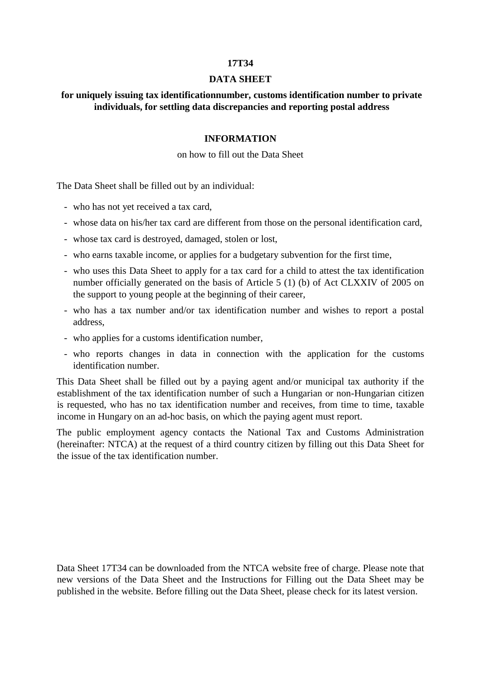#### **17T34**

#### **DATA SHEET**

# **for uniquely issuing tax identificationnumber, customs identification number to private individuals, for settling data discrepancies and reporting postal address**

#### **INFORMATION**

### on how to fill out the Data Sheet

The Data Sheet shall be filled out by an individual:

- who has not yet received a tax card,
- whose data on his/her tax card are different from those on the personal identification card,
- whose tax card is destroyed, damaged, stolen or lost,
- who earns taxable income, or applies for a budgetary subvention for the first time,
- who uses this Data Sheet to apply for a tax card for a child to attest the tax identification number officially generated on the basis of Article 5 (1) (b) of Act CLXXIV of 2005 on the support to young people at the beginning of their career,
- who has a tax number and/or tax identification number and wishes to report a postal address,
- who applies for a customs identification number,
- who reports changes in data in connection with the application for the customs identification number.

This Data Sheet shall be filled out by a paying agent and/or municipal tax authority if the establishment of the tax identification number of such a Hungarian or non-Hungarian citizen is requested, who has no tax identification number and receives, from time to time, taxable income in Hungary on an ad-hoc basis, on which the paying agent must report.

The public employment agency contacts the National Tax and Customs Administration (hereinafter: NTCA) at the request of a third country citizen by filling out this Data Sheet for the issue of the tax identification number.

Data Sheet 17T34 can be downloaded from the NTCA website free of charge. Please note that new versions of the Data Sheet and the Instructions for Filling out the Data Sheet may be published in the website. Before filling out the Data Sheet, please check for its latest version.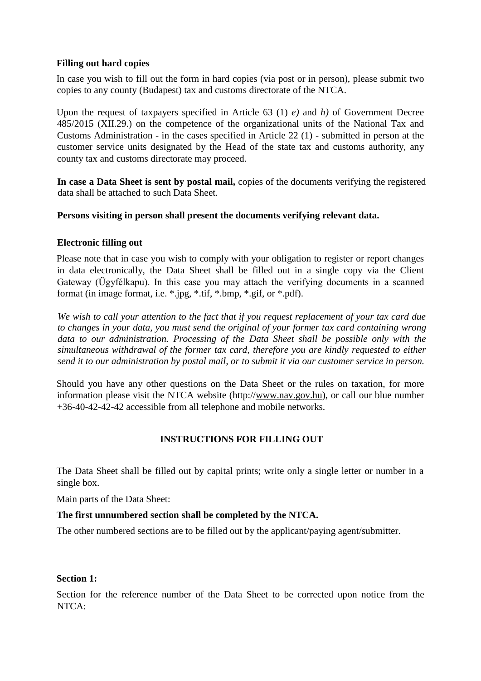## **Filling out hard copies**

In case you wish to fill out the form in hard copies (via post or in person), please submit two copies to any county (Budapest) tax and customs directorate of the NTCA.

Upon the request of taxpayers specified in Article 63 (1) *e)* and *h)* of Government Decree 485/2015 (XII.29.) on the competence of the organizational units of the National Tax and Customs Administration - in the cases specified in Article 22 (1) - submitted in person at the customer service units designated by the Head of the state tax and customs authority, any county tax and customs directorate may proceed.

**In case a Data Sheet is sent by postal mail,** copies of the documents verifying the registered data shall be attached to such Data Sheet.

# **Persons visiting in person shall present the documents verifying relevant data.**

## **Electronic filling out**

Please note that in case you wish to comply with your obligation to register or report changes in data electronically, the Data Sheet shall be filled out in a single copy via the Client Gateway (Ügyfélkapu). In this case you may attach the verifying documents in a scanned format (in image format, i.e. \*.jpg, \*.tif, \*.bmp, \*.gif, or \*.pdf).

*We wish to call your attention to the fact that if you request replacement of your tax card due to changes in your data, you must send the original of your former tax card containing wrong data to our administration. Processing of the Data Sheet shall be possible only with the simultaneous withdrawal of the former tax card, therefore you are kindly requested to either send it to our administration by postal mail, or to submit it via our customer service in person.*

Should you have any other questions on the Data Sheet or the rules on taxation, for more information please visit the NTCA website (http://www.nav.gov.hu), or call our blue number +36-40-42-42-42 accessible from all telephone and mobile networks.

### **INSTRUCTIONS FOR FILLING OUT**

The Data Sheet shall be filled out by capital prints; write only a single letter or number in a single box.

Main parts of the Data Sheet:

### **The first unnumbered section shall be completed by the NTCA.**

The other numbered sections are to be filled out by the applicant/paying agent/submitter.

### **Section 1:**

Section for the reference number of the Data Sheet to be corrected upon notice from the NTCA: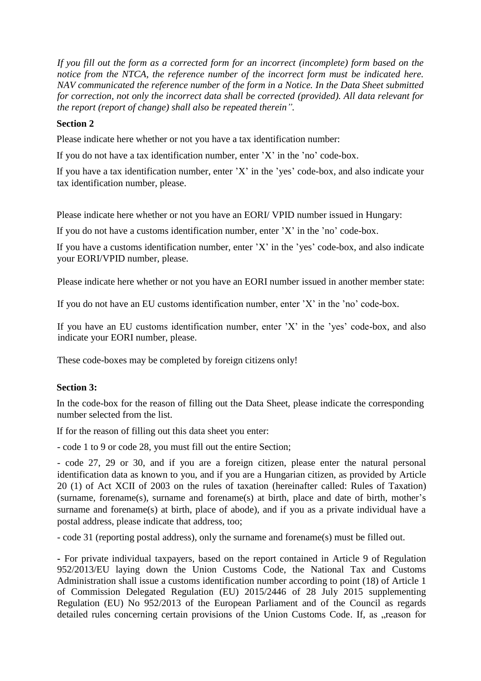*If you fill out the form as a corrected form for an incorrect (incomplete) form based on the notice from the NTCA, the reference number of the incorrect form must be indicated here. NAV communicated the reference number of the form in a Notice. In the Data Sheet submitted for correction, not only the incorrect data shall be corrected (provided). All data relevant for the report (report of change) shall also be repeated therein".*

## **Section 2**

Please indicate here whether or not you have a tax identification number:

If you do not have a tax identification number, enter 'X' in the 'no' code-box.

If you have a tax identification number, enter 'X' in the 'yes' code-box, and also indicate your tax identification number, please.

Please indicate here whether or not you have an EORI/ VPID number issued in Hungary:

If you do not have a customs identification number, enter 'X' in the 'no' code-box.

If you have a customs identification number, enter 'X' in the 'yes' code-box, and also indicate your EORI/VPID number, please.

Please indicate here whether or not you have an EORI number issued in another member state:

If you do not have an EU customs identification number, enter 'X' in the 'no' code-box.

If you have an EU customs identification number, enter 'X' in the 'yes' code-box, and also indicate your EORI number, please.

These code-boxes may be completed by foreign citizens only!

# **Section 3:**

In the code-box for the reason of filling out the Data Sheet, please indicate the corresponding number selected from the list.

If for the reason of filling out this data sheet you enter:

- code 1 to 9 or code 28, you must fill out the entire Section;

- code 27, 29 or 30, and if you are a foreign citizen, please enter the natural personal identification data as known to you, and if you are a Hungarian citizen, as provided by Article 20 (1) of Act XCII of 2003 on the rules of taxation (hereinafter called: Rules of Taxation) (surname, forename(s), surname and forename(s) at birth, place and date of birth, mother's surname and forename(s) at birth, place of abode), and if you as a private individual have a postal address, please indicate that address, too;

- code 31 (reporting postal address), only the surname and forename(s) must be filled out.

**-** For private individual taxpayers, based on the report contained in Article 9 of Regulation 952/2013/EU laying down the Union Customs Code, the National Tax and Customs Administration shall issue a customs identification number according to point (18) of Article 1 of Commission Delegated Regulation (EU) 2015/2446 of 28 July 2015 supplementing Regulation (EU) No 952/2013 of the European Parliament and of the Council as regards detailed rules concerning certain provisions of the Union Customs Code. If, as "reason for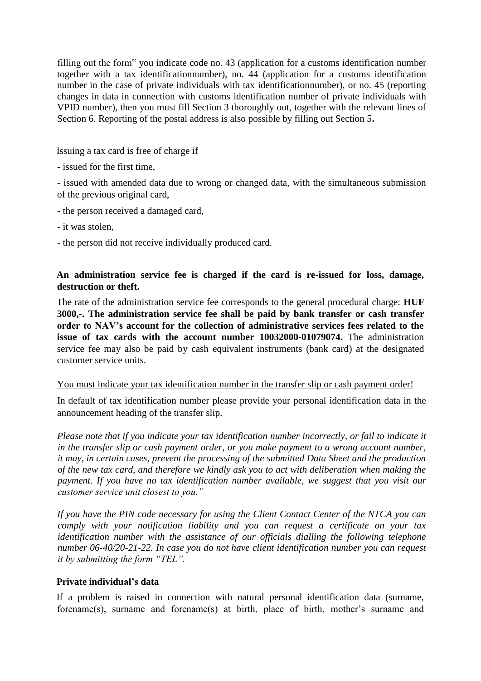filling out the form" you indicate code no. 43 (application for a customs identification number together with a tax identificationnumber), no. 44 (application for a customs identification number in the case of private individuals with tax identificationnumber), or no. 45 (reporting changes in data in connection with customs identification number of private individuals with VPID number), then you must fill Section 3 thoroughly out, together with the relevant lines of Section 6. Reporting of the postal address is also possible by filling out Section 5**.**

Issuing a tax card is free of charge if

- issued for the first time,

- issued with amended data due to wrong or changed data, with the simultaneous submission of the previous original card,

- the person received a damaged card,
- it was stolen,
- the person did not receive individually produced card.

# **An administration service fee is charged if the card is re-issued for loss, damage, destruction or theft.**

The rate of the administration service fee corresponds to the general procedural charge: **HUF 3000,-. The administration service fee shall be paid by bank transfer or cash transfer order to NAV's account for the collection of administrative services fees related to the issue of tax cards with the account number 10032000-01079074.** The administration service fee may also be paid by cash equivalent instruments (bank card) at the designated customer service units.

### You must indicate your tax identification number in the transfer slip or cash payment order!

In default of tax identification number please provide your personal identification data in the announcement heading of the transfer slip.

*Please note that if you indicate your tax identification number incorrectly, or fail to indicate it in the transfer slip or cash payment order, or you make payment to a wrong account number, it may, in certain cases, prevent the processing of the submitted Data Sheet and the production of the new tax card, and therefore we kindly ask you to act with deliberation when making the payment. If you have no tax identification number available, we suggest that you visit our customer service unit closest to you."*

*If you have the PIN code necessary for using the Client Contact Center of the NTCA you can comply with your notification liability and you can request a certificate on your tax identification number with the assistance of our officials dialling the following telephone number 06-40/20-21-22. In case you do not have client identification number you can request it by submitting the form "TEL".*

# **Private individual's data**

If a problem is raised in connection with natural personal identification data (surname, forename(s), surname and forename(s) at birth, place of birth, mother's surname and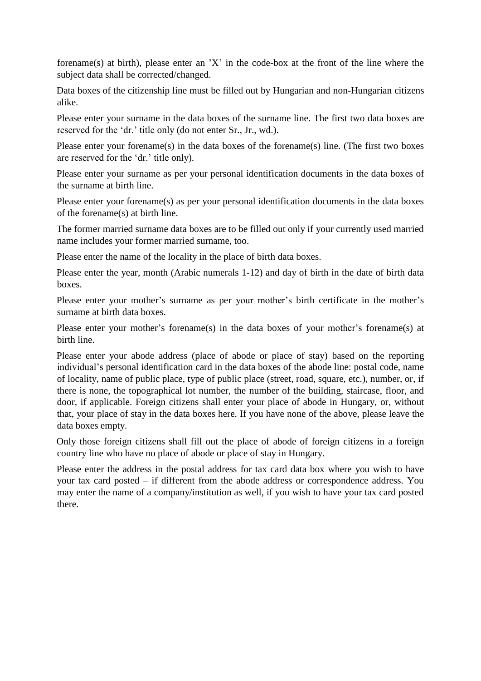forename(s) at birth), please enter an 'X' in the code-box at the front of the line where the subject data shall be corrected/changed.

Data boxes of the citizenship line must be filled out by Hungarian and non-Hungarian citizens alike.

Please enter your surname in the data boxes of the surname line. The first two data boxes are reserved for the 'dr.' title only (do not enter Sr., Jr., wd.).

Please enter your forename(s) in the data boxes of the forename(s) line. (The first two boxes are reserved for the 'dr.' title only).

Please enter your surname as per your personal identification documents in the data boxes of the surname at birth line.

Please enter your forename(s) as per your personal identification documents in the data boxes of the forename(s) at birth line.

The former married surname data boxes are to be filled out only if your currently used married name includes your former married surname, too.

Please enter the name of the locality in the place of birth data boxes.

Please enter the year, month (Arabic numerals 1-12) and day of birth in the date of birth data boxes.

Please enter your mother's surname as per your mother's birth certificate in the mother's surname at birth data boxes.

Please enter your mother's forename(s) in the data boxes of your mother's forename(s) at birth line.

Please enter your abode address (place of abode or place of stay) based on the reporting individual's personal identification card in the data boxes of the abode line: postal code, name of locality, name of public place, type of public place (street, road, square, etc.), number, or, if there is none, the topographical lot number, the number of the building, staircase, floor, and door, if applicable. Foreign citizens shall enter your place of abode in Hungary, or, without that, your place of stay in the data boxes here. If you have none of the above, please leave the data boxes empty.

Only those foreign citizens shall fill out the place of abode of foreign citizens in a foreign country line who have no place of abode or place of stay in Hungary.

Please enter the address in the postal address for tax card data box where you wish to have your tax card posted – if different from the abode address or correspondence address. You may enter the name of a company/institution as well, if you wish to have your tax card posted there.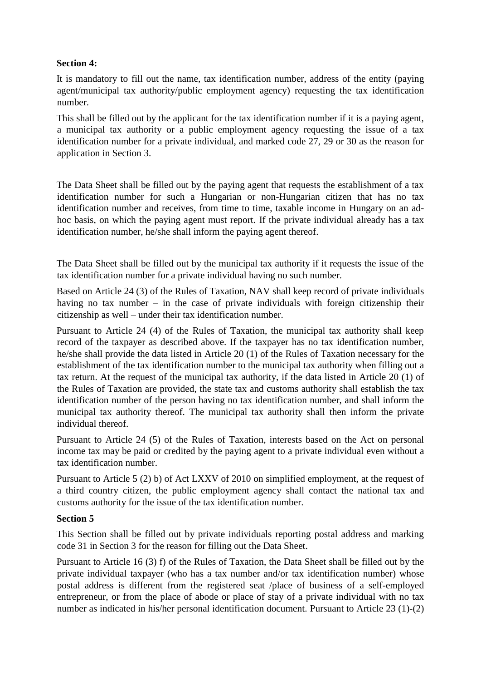# **Section 4:**

It is mandatory to fill out the name, tax identification number, address of the entity (paying agent/municipal tax authority/public employment agency) requesting the tax identification number.

This shall be filled out by the applicant for the tax identification number if it is a paying agent, a municipal tax authority or a public employment agency requesting the issue of a tax identification number for a private individual, and marked code 27, 29 or 30 as the reason for application in Section 3.

The Data Sheet shall be filled out by the paying agent that requests the establishment of a tax identification number for such a Hungarian or non-Hungarian citizen that has no tax identification number and receives, from time to time, taxable income in Hungary on an adhoc basis, on which the paying agent must report. If the private individual already has a tax identification number, he/she shall inform the paying agent thereof.

The Data Sheet shall be filled out by the municipal tax authority if it requests the issue of the tax identification number for a private individual having no such number.

Based on Article 24 (3) of the Rules of Taxation, NAV shall keep record of private individuals having no tax number – in the case of private individuals with foreign citizenship their citizenship as well – under their tax identification number.

Pursuant to Article 24 (4) of the Rules of Taxation, the municipal tax authority shall keep record of the taxpayer as described above. If the taxpayer has no tax identification number, he/she shall provide the data listed in Article 20 (1) of the Rules of Taxation necessary for the establishment of the tax identification number to the municipal tax authority when filling out a tax return. At the request of the municipal tax authority, if the data listed in Article 20 (1) of the Rules of Taxation are provided, the state tax and customs authority shall establish the tax identification number of the person having no tax identification number, and shall inform the municipal tax authority thereof. The municipal tax authority shall then inform the private individual thereof.

Pursuant to Article 24 (5) of the Rules of Taxation, interests based on the Act on personal income tax may be paid or credited by the paying agent to a private individual even without a tax identification number.

Pursuant to Article 5 (2) b) of Act LXXV of 2010 on simplified employment, at the request of a third country citizen, the public employment agency shall contact the national tax and customs authority for the issue of the tax identification number.

# **Section 5**

This Section shall be filled out by private individuals reporting postal address and marking code 31 in Section 3 for the reason for filling out the Data Sheet.

Pursuant to Article 16 (3) f) of the Rules of Taxation, the Data Sheet shall be filled out by the private individual taxpayer (who has a tax number and/or tax identification number) whose postal address is different from the registered seat /place of business of a self-employed entrepreneur, or from the place of abode or place of stay of a private individual with no tax number as indicated in his/her personal identification document. Pursuant to Article 23 (1)-(2)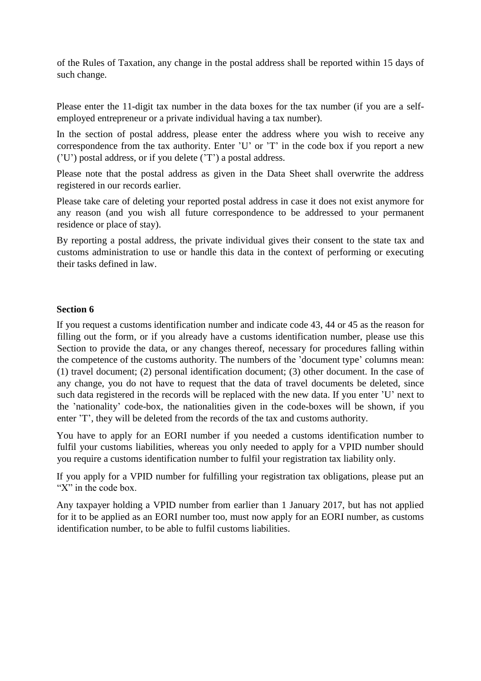of the Rules of Taxation, any change in the postal address shall be reported within 15 days of such change.

Please enter the 11-digit tax number in the data boxes for the tax number (if you are a selfemployed entrepreneur or a private individual having a tax number).

In the section of postal address, please enter the address where you wish to receive any correspondence from the tax authority. Enter 'U' or 'T' in the code box if you report a new ('U') postal address, or if you delete ('T') a postal address.

Please note that the postal address as given in the Data Sheet shall overwrite the address registered in our records earlier.

Please take care of deleting your reported postal address in case it does not exist anymore for any reason (and you wish all future correspondence to be addressed to your permanent residence or place of stay).

By reporting a postal address, the private individual gives their consent to the state tax and customs administration to use or handle this data in the context of performing or executing their tasks defined in law.

## **Section 6**

If you request a customs identification number and indicate code 43, 44 or 45 as the reason for filling out the form, or if you already have a customs identification number, please use this Section to provide the data, or any changes thereof, necessary for procedures falling within the competence of the customs authority. The numbers of the 'document type' columns mean: (1) travel document; (2) personal identification document; (3) other document. In the case of any change, you do not have to request that the data of travel documents be deleted, since such data registered in the records will be replaced with the new data. If you enter 'U' next to the 'nationality' code-box, the nationalities given in the code-boxes will be shown, if you enter 'T', they will be deleted from the records of the tax and customs authority.

You have to apply for an EORI number if you needed a customs identification number to fulfil your customs liabilities, whereas you only needed to apply for a VPID number should you require a customs identification number to fulfil your registration tax liability only.

If you apply for a VPID number for fulfilling your registration tax obligations, please put an "X" in the code box.

Any taxpayer holding a VPID number from earlier than 1 January 2017, but has not applied for it to be applied as an EORI number too, must now apply for an EORI number, as customs identification number, to be able to fulfil customs liabilities.